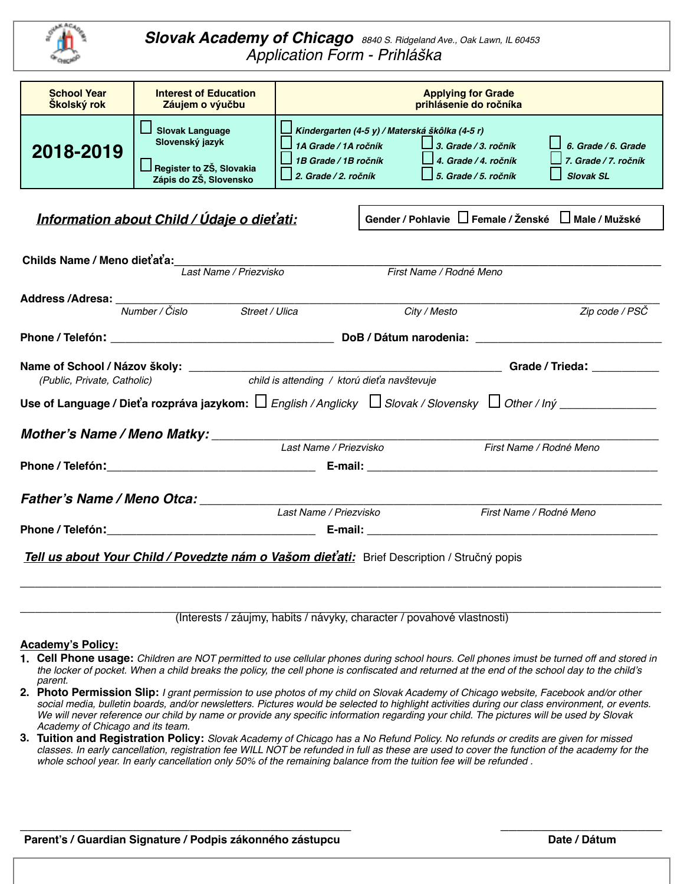

*Slovak Academy of Chicago 8840 S. Ridgeland Ave., Oak Lawn, IL 60453 Application Form - Prihlá*š*ka*

| <b>School Year</b><br>Školský rok                                                                                               | <b>Interest of Education</b><br>Záujem o výučbu                                                                  | <b>Applying for Grade</b><br>prihlásenie do ročníka                                                                           |                         |                                                                                    |                                                                 |  |  |
|---------------------------------------------------------------------------------------------------------------------------------|------------------------------------------------------------------------------------------------------------------|-------------------------------------------------------------------------------------------------------------------------------|-------------------------|------------------------------------------------------------------------------------|-----------------------------------------------------------------|--|--|
| 2018-2019                                                                                                                       | <b>Slovak Language</b><br>Slovenský jazyk<br>Register to ZŠ, Slovakia<br>Zápis do ZŠ, Slovensko                  | Kindergarten (4-5 y) / Materská škôlka (4-5 r)<br>1A Grade / 1A ročník<br>1B Grade / 1B ročník<br>$\Box$ 2. Grade / 2. ročník |                         | $\Box$ 3. Grade / 3. ročník<br>4. Grade / 4. ročník<br>$\Box$ 5. Grade / 5. ročník | 6. Grade / 6. Grade<br>7. Grade / 7. ročník<br>$\Box$ Slovak SL |  |  |
| Gender / Pohlavie □ Female / Ženské □ Male / Mužské<br>Information about Child / Údaje o dieťati:                               |                                                                                                                  |                                                                                                                               |                         |                                                                                    |                                                                 |  |  |
| Childs Name / Meno dieťaťa:<br>Last Name / Priezvisko<br>First Name / Rodné Meno                                                |                                                                                                                  |                                                                                                                               |                         |                                                                                    |                                                                 |  |  |
|                                                                                                                                 | Address /Adresa: Mumber / Čislo Street / Ulica                                                                   |                                                                                                                               |                         | City / Mesto                                                                       | Zip code / PSČ                                                  |  |  |
|                                                                                                                                 |                                                                                                                  |                                                                                                                               |                         |                                                                                    |                                                                 |  |  |
| ___________________Grade / Trieda: ______________<br>child is attending / ktorú dieťa navštevuje<br>(Public, Private, Catholic) |                                                                                                                  |                                                                                                                               |                         |                                                                                    |                                                                 |  |  |
|                                                                                                                                 | Use of Language / Dieťa rozpráva jazykom: $\Box$ English / Anglicky $\Box$ Slovak / Slovensky $\Box$ Other / Iný |                                                                                                                               |                         |                                                                                    |                                                                 |  |  |
| Mother's Name / Meno Matky: _______<br>Last Name / Priezvisko<br>First Name / Rodné Meno                                        |                                                                                                                  |                                                                                                                               |                         |                                                                                    |                                                                 |  |  |
|                                                                                                                                 |                                                                                                                  |                                                                                                                               |                         |                                                                                    |                                                                 |  |  |
|                                                                                                                                 |                                                                                                                  |                                                                                                                               |                         |                                                                                    |                                                                 |  |  |
| Father's Name / Meno Otca: Last Name / Priezvisko                                                                               |                                                                                                                  |                                                                                                                               | First Name / Rodné Meno |                                                                                    |                                                                 |  |  |
|                                                                                                                                 |                                                                                                                  |                                                                                                                               |                         |                                                                                    |                                                                 |  |  |
| Tell us about Your Child / Povedzte nám o Vašom dieťati: Brief Description / Stručný popis                                      |                                                                                                                  |                                                                                                                               |                         |                                                                                    |                                                                 |  |  |
|                                                                                                                                 | (Interests / záujmy, habits / návyky, character / povahové vlastnosti)                                           |                                                                                                                               |                         |                                                                                    |                                                                 |  |  |

#### **Academy's Policy:**

- **1. Cell Phone usage:** *Children are NOT permitted to use cellular phones during school hours. Cell phones imust be turned off and stored in the locker of pocket. When a child breaks the policy, the cell phone is confiscated and returned at the end of the school day to the child's parent.*
- **2. Photo Permission Slip:** *I grant permission to use photos of my child on Slovak Academy of Chicago website, Facebook and/or other social media, bulletin boards, and/or newsletters. Pictures would be selected to highlight activities during our class environment, or events. We will never reference our child by name or provide any specific information regarding your child. The pictures will be used by Slovak Academy of Chicago and its team.*
- **3. Tuition and Registration Policy:** *Slovak Academy of Chicago has a No Refund Policy. No refunds or credits are given for missed classes. In early cancellation, registration fee WILL NOT be refunded in full as these are used to cover the function of the academy for the whole school year. In early cancellation only 50% of the remaining balance from the tuition fee will be refunded .*

\_\_\_\_\_\_\_\_\_\_\_\_\_\_\_\_\_\_\_\_\_\_\_\_\_\_\_\_\_\_\_\_\_\_\_\_\_\_\_\_\_ \_\_\_\_\_\_\_\_\_\_\_\_\_\_\_\_\_\_\_\_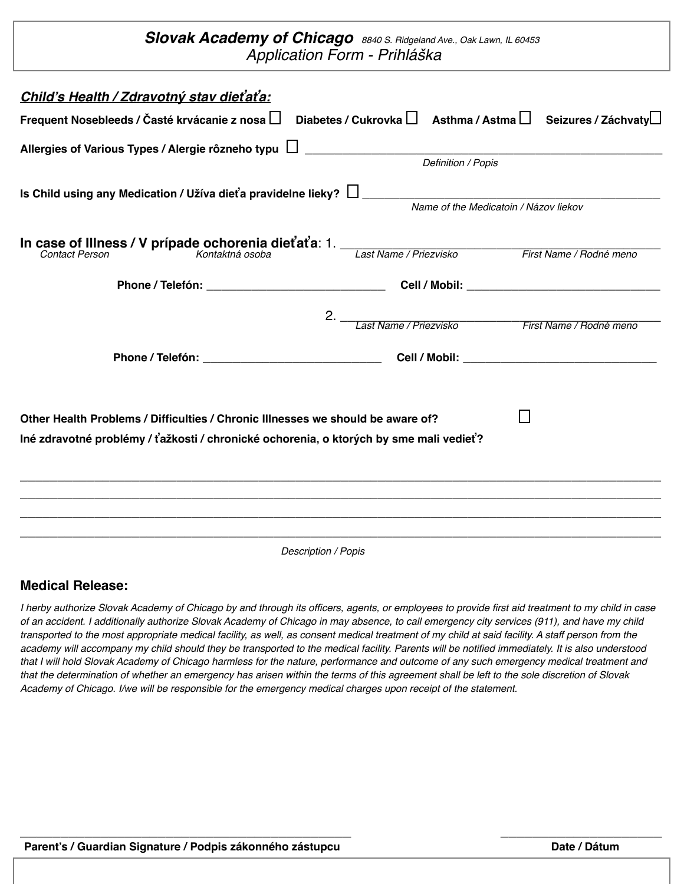## *Slovak Academy of Chicago 8840 S. Ridgeland Ave., Oak Lawn, IL 60453 Application Form - Prihlá*š*ka*

| Child's Health / Zdravotný stav dieťaťa:                                                                                              |                                       |                                                      |  |  |  |
|---------------------------------------------------------------------------------------------------------------------------------------|---------------------------------------|------------------------------------------------------|--|--|--|
| Frequent Nosebleeds / Časté krvácanie z nosa $\Box$ Diabetes / Cukrovka $\Box$ Asthma / Astma $\Box$ Seizures / Záchvaty $\Box$       |                                       |                                                      |  |  |  |
|                                                                                                                                       |                                       |                                                      |  |  |  |
|                                                                                                                                       | Definition / Popis                    |                                                      |  |  |  |
| Is Child using any Medication / Užíva dieťa pravidelne lieky? $\Box$                                                                  |                                       |                                                      |  |  |  |
|                                                                                                                                       | Name of the Medicatoin / Názov liekov |                                                      |  |  |  |
|                                                                                                                                       |                                       |                                                      |  |  |  |
| In case of Illness / V prípade ochorenia dieťaťa: 1.<br>Contect Person Kontaktná osoba Last Name / Priezvisko First Name / Rodné meno |                                       |                                                      |  |  |  |
|                                                                                                                                       |                                       |                                                      |  |  |  |
|                                                                                                                                       |                                       |                                                      |  |  |  |
|                                                                                                                                       |                                       | 2.<br>Last Name / Priezvisko First Name / Rodné meno |  |  |  |
|                                                                                                                                       |                                       |                                                      |  |  |  |
| Other Health Problems / Difficulties / Chronic Illnesses we should be aware of?                                                       |                                       |                                                      |  |  |  |
| Iné zdravotné problémy / ťažkosti / chronické ochorenia, o ktorých by sme mali vedieť?                                                |                                       |                                                      |  |  |  |
|                                                                                                                                       |                                       |                                                      |  |  |  |
|                                                                                                                                       |                                       |                                                      |  |  |  |
|                                                                                                                                       |                                       |                                                      |  |  |  |
|                                                                                                                                       |                                       |                                                      |  |  |  |
| Description / Popis                                                                                                                   |                                       |                                                      |  |  |  |

### **Medical Release:**

*I herby authorize Slovak Academy of Chicago by and through its officers, agents, or employees to provide first aid treatment to my child in case of an accident. I additionally authorize Slovak Academy of Chicago in may absence, to call emergency city services (911), and have my child*  transported to the most appropriate medical facility, as well, as consent medical treatment of my child at said facility. A staff person from the *academy will accompany my child should they be transported to the medical facility. Parents will be notified immediately. It is also understood that I will hold Slovak Academy of Chicago harmless for the nature, performance and outcome of any such emergency medical treatment and that the determination of whether an emergency has arisen within the terms of this agreement shall be left to the sole discretion of Slovak Academy of Chicago. I/we will be responsible for the emergency medical charges upon receipt of the statement.*

\_\_\_\_\_\_\_\_\_\_\_\_\_\_\_\_\_\_\_\_\_\_\_\_\_\_\_\_\_\_\_\_\_\_\_\_\_\_\_\_\_ \_\_\_\_\_\_\_\_\_\_\_\_\_\_\_\_\_\_\_\_